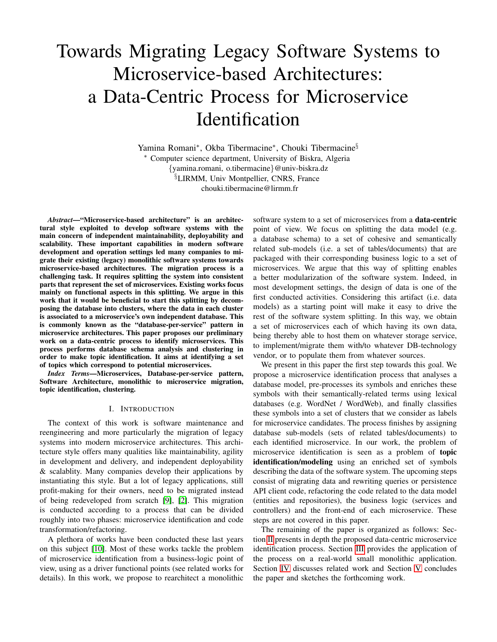# Towards Migrating Legacy Software Systems to Microservice-based Architectures: a Data-Centric Process for Microservice **Identification**

Yamina Romani<sup>∗</sup> , Okba Tibermacine<sup>∗</sup> , Chouki Tibermacine§ <sup>∗</sup> Computer science department, University of Biskra, Algeria {yamina.romani, o.tibermacine}@univ-biskra.dz §LIRMM, Univ Montpellier, CNRS, France chouki.tibermacine@lirmm.fr

*Abstract*—"Microservice-based architecture" is an architectural style exploited to develop software systems with the main concern of independent maintainability, deployability and scalability. These important capabilities in modern software development and operation settings led many companies to migrate their existing (legacy) monolithic software systems towards microservice-based architectures. The migration process is a challenging task. It requires splitting the system into consistent parts that represent the set of microservices. Existing works focus mainly on functional aspects in this splitting. We argue in this work that it would be beneficial to start this splitting by decomposing the database into clusters, where the data in each cluster is associated to a microservice's own independent database. This is commonly known as the "database-per-service" pattern in microservice architectures. This paper proposes our preliminary work on a data-centric process to identify microservices. This process performs database schema analysis and clustering in order to make topic identification. It aims at identifying a set of topics which correspond to potential microservices.

*Index Terms*—Microservices, Database-per-service pattern, Software Architecture, monolithic to microservice migration, topic identification, clustering.

#### I. INTRODUCTION

The context of this work is software maintenance and reengineering and more particularly the migration of legacy systems into modern microservice architectures. This architecture style offers many qualities like maintainability, agility in development and delivery, and independent deployability & scalablity. Many companies develop their applications by instantiating this style. But a lot of legacy applications, still profit-making for their owners, need to be migrated instead of being redeveloped from scratch [\[9\]](#page-4-0), [\[2\]](#page-4-1). This migration is conducted according to a process that can be divided roughly into two phases: microservice identification and code transformation/refactoring.

A plethora of works have been conducted these last years on this subject [\[10\]](#page-4-2). Most of these works tackle the problem of microservice identification from a business-logic point of view, using as a driver functional points (see related works for details). In this work, we propose to rearchitect a monolithic software system to a set of microservices from a data-centric point of view. We focus on splitting the data model (e.g. a database schema) to a set of cohesive and semantically related sub-models (i.e. a set of tables/documents) that are packaged with their corresponding business logic to a set of microservices. We argue that this way of splitting enables a better modularization of the software system. Indeed, in most development settings, the design of data is one of the first conducted activities. Considering this artifact (i.e. data models) as a starting point will make it easy to drive the rest of the software system splitting. In this way, we obtain a set of microservices each of which having its own data, being thereby able to host them on whatever storage service, to implement/migrate them with/to whatever DB-technology vendor, or to populate them from whatever sources.

We present in this paper the first step towards this goal. We propose a microservice identification process that analyses a database model, pre-processes its symbols and enriches these symbols with their semantically-related terms using lexical databases (e.g. WordNet / WordWeb), and finally classifies these symbols into a set of clusters that we consider as labels for microservice candidates. The process finishes by assigning database sub-models (sets of related tables/documents) to each identified microservice. In our work, the problem of microservice identification is seen as a problem of topic identification/modeling using an enriched set of symbols describing the data of the software system. The upcoming steps consist of migrating data and rewriting queries or persistence API client code, refactoring the code related to the data model (entities and repositories), the business logic (services and controllers) and the front-end of each microservice. These steps are not covered in this paper.

The remaining of the paper is organized as follows: Section [II](#page-1-0) presents in depth the proposed data-centric microservice identification process. Section [III](#page-2-0) provides the application of the process on a real-world small monolithic application. Section [IV](#page-3-0) discusses related work and Section [V](#page-4-3) concludes the paper and sketches the forthcoming work.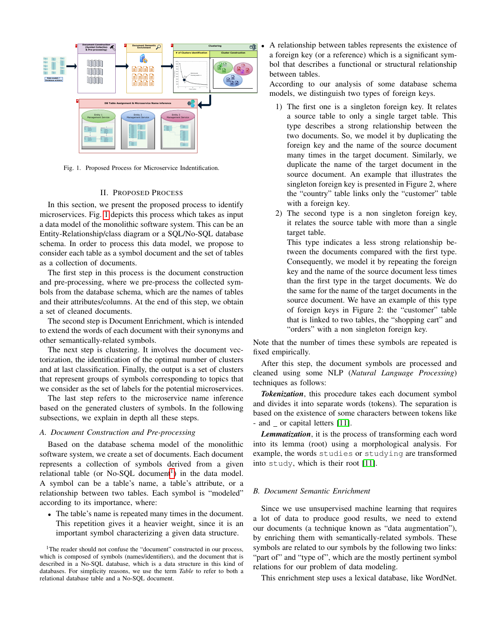

<span id="page-1-1"></span>Fig. 1. Proposed Process for Microservice Indentification.

#### II. PROPOSED PROCESS

<span id="page-1-0"></span>In this section, we present the proposed process to identify microservices. Fig. [1](#page-1-1) depicts this process which takes as input a data model of the monolithic software system. This can be an Entity-Relationship/class diagram or a SQL/No-SQL database schema. In order to process this data model, we propose to consider each table as a symbol document and the set of tables as a collection of documents.

The first step in this process is the document construction and pre-processing, where we pre-process the collected symbols from the database schema, which are the names of tables and their attributes/columns. At the end of this step, we obtain a set of cleaned documents.

The second step is Document Enrichment, which is intended to extend the words of each document with their synonyms and other semantically-related symbols.

The next step is clustering. It involves the document vectorization, the identification of the optimal number of clusters and at last classification. Finally, the output is a set of clusters that represent groups of symbols corresponding to topics that we consider as the set of labels for the potential microservices.

The last step refers to the microservice name inference based on the generated clusters of symbols. In the following subsections, we explain in depth all these steps.

### *A. Document Construction and Pre-processing*

Based on the database schema model of the monolithic software system, we create a set of documents. Each document represents a collection of symbols derived from a given relational table (or No-SQL document<sup>[1](#page-1-2)</sup>) in the data model. A symbol can be a table's name, a table's attribute, or a relationship between two tables. Each symbol is "modeled" according to its importance, where:

• The table's name is repeated many times in the document. This repetition gives it a heavier weight, since it is an important symbol characterizing a given data structure.

<span id="page-1-2"></span><sup>1</sup>The reader should not confuse the "document" constructed in our process, which is composed of symbols (names/identifiers), and the document that is described in a No-SQL database, which is a data structure in this kind of databases. For simplicity reasons, we use the term *Table* to refer to both a relational database table and a No-SQL document.

• A relationship between tables represents the existence of a foreign key (or a reference) which is a significant symbol that describes a functional or structural relationship between tables.

According to our analysis of some database schema models, we distinguish two types of foreign keys.

- 1) The first one is a singleton foreign key. It relates a source table to only a single target table. This type describes a strong relationship between the two documents. So, we model it by duplicating the foreign key and the name of the source document many times in the target document. Similarly, we duplicate the name of the target document in the source document. An example that illustrates the singleton foreign key is presented in Figure 2, where the "country" table links only the "customer" table with a foreign key.
- 2) The second type is a non singleton foreign key, it relates the source table with more than a single target table.

This type indicates a less strong relationship between the documents compared with the first type. Consequently, we model it by repeating the foreign key and the name of the source document less times than the first type in the target documents. We do the same for the name of the target documents in the source document. We have an example of this type of foreign keys in Figure 2: the "customer" table that is linked to two tables, the "shopping cart" and "orders" with a non singleton foreign key.

Note that the number of times these symbols are repeated is fixed empirically.

After this step, the document symbols are processed and cleaned using some NLP (*Natural Language Processing*) techniques as follows:

*Tokenization*, this procedure takes each document symbol and divides it into separate words (tokens). The separation is based on the existence of some characters between tokens like - and  $\alpha$  or capital letters [\[11\]](#page-4-4).

*Lemmatization*, it is the process of transforming each word into its lemma (root) using a morphological analysis. For example, the words studies or studying are transformed into study, which is their root [\[11\]](#page-4-4).

#### *B. Document Semantic Enrichment*

Since we use unsupervised machine learning that requires a lot of data to produce good results, we need to extend our documents (a technique known as "data augmentation"), by enriching them with semantically-related symbols. These symbols are related to our symbols by the following two links: "part of" and "type of", which are the mostly pertinent symbol relations for our problem of data modeling.

This enrichment step uses a lexical database, like WordNet.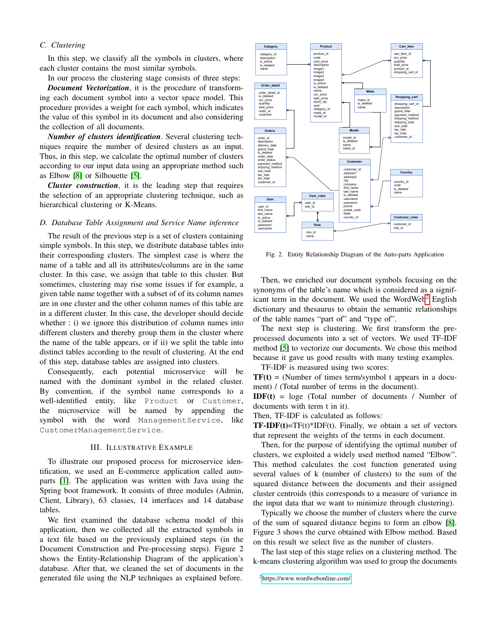# *C. Clustering*

In this step, we classify all the symbols in clusters, where each cluster contains the most similar symbols.

In our process the clustering stage consists of three steps:

*Document Vectorization*, it is the procedure of transforming each document symbol into a vector space model. This procedure provides a weight for each symbol, which indicates the value of this symbol in its document and also considering the collection of all documents.

*Number of clusters identification*. Several clustering techniques require the number of desired clusters as an input. Thus, in this step, we calculate the optimal number of clusters according to our input data using an appropriate method such as Elbow [\[8\]](#page-4-5) or Silhouette [\[5\]](#page-4-6).

*Cluster construction*, it is the leading step that requires the selection of an appropriate clustering technique, such as hierarchical clustering or K-Means.

#### *D. Database Table Assignment and Service Name inference*

The result of the previous step is a set of clusters containing simple symbols. In this step, we distribute database tables into their corresponding clusters. The simplest case is where the name of a table and all its attributes/columns are in the same cluster. In this case, we assign that table to this cluster. But sometimes, clustering may rise some issues if for example, a given table name together with a subset of of its column names are in one cluster and the other column names of this table are in a different cluster. In this case, the developer should decide whether : i) we ignore this distribution of column names into different clusters and thereby group them in the cluster where the name of the table appears, or if ii) we split the table into distinct tables according to the result of clustering. At the end of this step, database tables are assigned into clusters.

Consequently, each potential microservice will be named with the dominant symbol in the related cluster. By convention, if the symbol name corresponds to a well-identified entity, like Product or Customer, the microservice will be named by appending the symbol with the word ManagementService, like CustomerManagementService.

#### III. ILLUSTRATIVE EXAMPLE

<span id="page-2-0"></span>To illustrate our proposed process for microservice identification, we used an E-commerce application called autoparts [\[1\]](#page-4-7). The application was written with Java using the Spring boot framework. It consists of three modules (Admin, Client, Library), 63 classes, 14 interfaces and 14 database tables.

We first examined the database schema model of this application, then we collected all the extracted symbols in a text file based on the previously explained steps (in the Document Construction and Pre-processing steps). Figure 2 shows the Entity-Relationship Diagram of the application's database. After that, we cleaned the set of documents in the generated file using the NLP techniques as explained before.



Fig. 2. Entity Relationship Diagram of the Auto-parts Application

Then, we enriched our document symbols focusing on the synonyms of the table's name which is considered as a signif-icant term in the document. We used the WordWeb<sup>[2](#page-2-1)</sup> English dictionary and thesaurus to obtain the semantic relationships of the table names "part of" and "type of".

The next step is clustering. We first transform the preprocessed documents into a set of vectors. We used TF-IDF method [\[5\]](#page-4-6) to vectorize our documents. We chose this method because it gave us good results with many testing examples.

TF-IDF is measured using two scores:

 $TF(t) =$  (Number of times term/symbol t appears in a document) / (Total number of terms in the document).

 $IDF(t) = loge$  (Total number of documents / Number of documents with term t in it).

Then, TF-IDF is calculated as follows:

**TF-IDF(t)=TF(t)\*IDF(t).** Finally, we obtain a set of vectors that represent the weights of the terms in each document.

Then, for the purpose of identifying the optimal number of clusters, we exploited a widely used method named "Elbow". This method calculates the cost function generated using several values of k (number of clusters) to the sum of the squared distance between the documents and their assigned cluster centroids (this corresponds to a measure of variance in the input data that we want to minimize through clustering).

Typically we choose the number of clusters where the curve of the sum of squared distance begins to form an elbow [\[8\]](#page-4-5). Figure 3 shows the curve obtained with Elbow method. Based on this result we select five as the number of clusters.

The last step of this stage relies on a clustering method. The k-means clustering algorithm was used to group the documents

<span id="page-2-1"></span><sup>2</sup><https://www.wordwebonline.com/>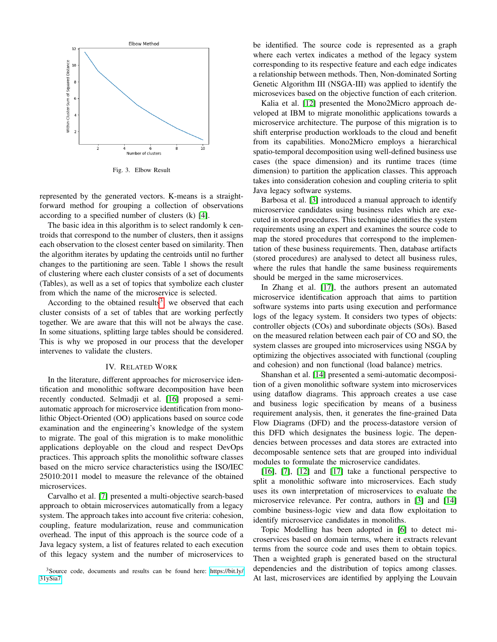

Fig. 3. Elbow Result

represented by the generated vectors. K-means is a straightforward method for grouping a collection of observations according to a specified number of clusters (k) [\[4\]](#page-4-8).

The basic idea in this algorithm is to select randomly k centroids that correspond to the number of clusters, then it assigns each observation to the closest center based on similarity. Then the algorithm iterates by updating the centroids until no further changes to the partitioning are seen. Table 1 shows the result of clustering where each cluster consists of a set of documents (Tables), as well as a set of topics that symbolize each cluster from which the name of the microservice is selected.

According to the obtained results<sup>[3](#page-3-1)</sup>, we observed that each cluster consists of a set of tables that are working perfectly together. We are aware that this will not be always the case. In some situations, splitting large tables should be considered. This is why we proposed in our process that the developer intervenes to validate the clusters.

## IV. RELATED WORK

<span id="page-3-0"></span>In the literature, different approaches for microservice identification and monolithic software decomposition have been recently conducted. Selmadji et al. [\[16\]](#page-4-9) proposed a semiautomatic approach for microservice identification from monolithic Object-Oriented (OO) applications based on source code examination and the engineering's knowledge of the system to migrate. The goal of this migration is to make monolithic applications deployable on the cloud and respect DevOps practices. This approach splits the monolithic software classes based on the micro service characteristics using the ISO/IEC 25010:2011 model to measure the relevance of the obtained microservices.

Carvalho et al. [\[7\]](#page-4-10) presented a multi-objective search-based approach to obtain microservices automatically from a legacy system. The approach takes into account five criteria: cohesion, coupling, feature modularization, reuse and communication overhead. The input of this approach is the source code of a Java legacy system, a list of features related to each execution of this legacy system and the number of microservices to be identified. The source code is represented as a graph where each vertex indicates a method of the legacy system corresponding to its respective feature and each edge indicates a relationship between methods. Then, Non-dominated Sorting Genetic Algorithm III (NSGA-III) was applied to identify the microsevices based on the objective function of each criterion.

Kalia et al. [\[12\]](#page-4-11) presented the Mono2Micro approach developed at IBM to migrate monolithic applications towards a microservice architecture. The purpose of this migration is to shift enterprise production workloads to the cloud and benefit from its capabilities. Mono2Micro employs a hierarchical spatio-temporal decomposition using well-defined business use cases (the space dimension) and its runtime traces (time dimension) to partition the application classes. This approach takes into consideration cohesion and coupling criteria to split Java legacy software systems.

Barbosa et al. [\[3\]](#page-4-12) introduced a manual approach to identify microservice candidates using business rules which are executed in stored procedures. This technique identifies the system requirements using an expert and examines the source code to map the stored procedures that correspond to the implementation of these business requirements. Then, database artifacts (stored procedures) are analysed to detect all business rules, where the rules that handle the same business requirements should be merged in the same microservices.

In Zhang et al. [\[17\]](#page-4-13), the authors present an automated microservice identification approach that aims to partition software systems into parts using execution and performance logs of the legacy system. It considers two types of objects: controller objects (COs) and subordinate objects (SOs). Based on the measured relation between each pair of CO and SO, the system classes are grouped into microservices using NSGA by optimizing the objectives associated with functional (coupling and cohesion) and non functional (load balance) metrics.

Shanshan et al. [\[14\]](#page-4-14) presented a semi-automatic decomposition of a given monolithic software system into microservices using dataflow diagrams. This approach creates a use case and business logic specification by means of a business requirement analysis, then, it generates the fine-grained Data Flow Diagrams (DFD) and the process-datastore version of this DFD which designates the business logic. The dependencies between processes and data stores are extracted into decomposable sentence sets that are grouped into individual modules to formulate the microservice candidates.

[\[16\]](#page-4-9), [\[7\]](#page-4-10), [\[12\]](#page-4-11) and [\[17\]](#page-4-13) take a functional perspective to split a monolithic software into microservices. Each study uses its own interpretation of microservices to evaluate the microservice relevance. Per contra, authors in [\[3\]](#page-4-12) and [\[14\]](#page-4-14) combine business-logic view and data flow exploitation to identify microservice candidates in monoliths.

Topic Modelling has been adopted in [\[6\]](#page-4-15) to detect microservices based on domain terms, where it extracts relevant terms from the source code and uses them to obtain topics. Then a weighted graph is generated based on the structural dependencies and the distribution of topics among classes. At last, microservices are identified by applying the Louvain

<span id="page-3-1"></span><sup>&</sup>lt;sup>3</sup>Source code, documents and results can be found here: [https://bit.ly/](https://bit.ly/31ySia7) [31ySia7](https://bit.ly/31ySia7)